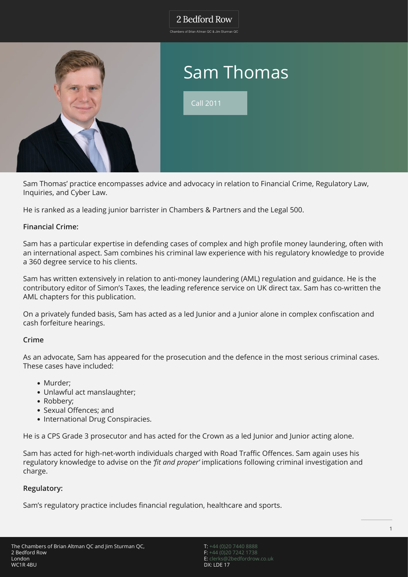### 2 Bedford Row

.<br>Chambers of Brian Altman OC & Jim Sturman OC



Sam Thomas' practice encompasses advice and advocacy in relation to Financial Crime, Regulatory Law, Inquiries, and Cyber Law.

He is ranked as a leading junior barrister in Chambers & Partners and the Legal 500.

### **Financial Crime:**

Sam has a particular expertise in defending cases of complex and high profile money laundering, often with an international aspect. Sam combines his criminal law experience with his regulatory knowledge to provide a 360 degree service to his clients.

Sam has written extensively in relation to anti-money laundering (AML) regulation and guidance. He is the contributory editor of Simon's Taxes, the leading reference service on UK direct tax. Sam has co-written the AML chapters for this publication.

On a privately funded basis, Sam has acted as a led Junior and a Junior alone in complex confiscation and cash forfeiture hearings.

#### **Crime**

As an advocate, Sam has appeared for the prosecution and the defence in the most serious criminal cases. These cases have included:

- Murder:
- Unlawful act manslaughter;
- Robbery;
- Sexual Offences; and
- International Drug Conspiracies.

He is a CPS Grade 3 prosecutor and has acted for the Crown as a led Junior and Junior acting alone.

Sam has acted for high-net-worth individuals charged with Road Traffic Offences. Sam again uses his regulatory knowledge to advise on the *'fit and proper'* implications following criminal investigation and charge.

#### **Regulatory:**

Sam's regulatory practice includes financial regulation, healthcare and sports.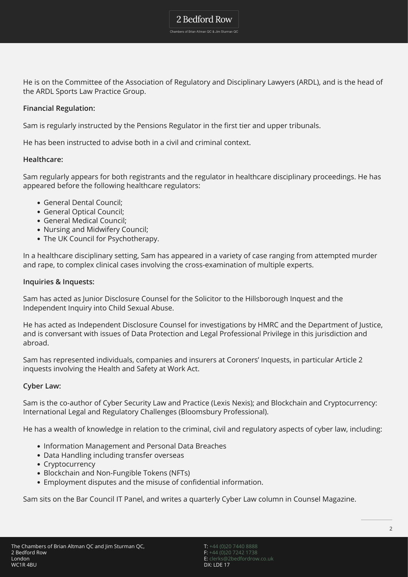### 2 Bedford Row

Chambers of Brian Altman QC & Jim Sturman QC

He is on the Committee of the Association of Regulatory and Disciplinary Lawyers (ARDL), and is the head of the ARDL Sports Law Practice Group.

#### **Financial Regulation:**

Sam is regularly instructed by the Pensions Regulator in the first tier and upper tribunals.

He has been instructed to advise both in a civil and criminal context.

#### **Healthcare:**

Sam regularly appears for both registrants and the regulator in healthcare disciplinary proceedings. He has appeared before the following healthcare regulators:

- General Dental Council;
- General Optical Council;
- General Medical Council;
- Nursing and Midwifery Council;
- The UK Council for Psychotherapy.

In a healthcare disciplinary setting, Sam has appeared in a variety of case ranging from attempted murder and rape, to complex clinical cases involving the cross-examination of multiple experts.

#### **Inquiries & Inquests:**

Sam has acted as Junior Disclosure Counsel for the Solicitor to the Hillsborough Inquest and the Independent Inquiry into Child Sexual Abuse.

He has acted as Independent Disclosure Counsel for investigations by HMRC and the Department of Justice, and is conversant with issues of Data Protection and Legal Professional Privilege in this jurisdiction and abroad.

Sam has represented individuals, companies and insurers at Coroners' Inquests, in particular Article 2 inquests involving the Health and Safety at Work Act.

#### **Cyber Law:**

Sam is the co-author of Cyber Security Law and Practice (Lexis Nexis); and Blockchain and Cryptocurrency: International Legal and Regulatory Challenges (Bloomsbury Professional).

He has a wealth of knowledge in relation to the criminal, civil and regulatory aspects of cyber law, including:

- Information Management and Personal Data Breaches
- Data Handling including transfer overseas
- Cryptocurrency
- Blockchain and Non-Fungible Tokens (NFTs)
- Employment disputes and the misuse of confidential information.

Sam sits on the Bar Council IT Panel, and writes a quarterly Cyber Law column in Counsel Magazine.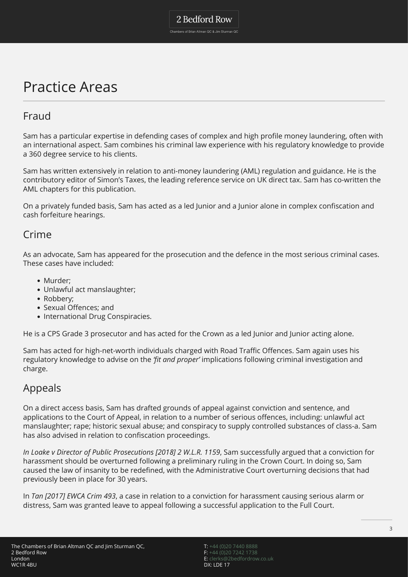## Practice Areas

### Fraud

Sam has a particular expertise in defending cases of complex and high profile money laundering, often with an international aspect. Sam combines his criminal law experience with his regulatory knowledge to provide a 360 degree service to his clients.

Sam has written extensively in relation to anti-money laundering (AML) regulation and guidance. He is the contributory editor of Simon's Taxes, the leading reference service on UK direct tax. Sam has co-written the AML chapters for this publication.

On a privately funded basis, Sam has acted as a led Junior and a Junior alone in complex confiscation and cash forfeiture hearings.

### Crime

As an advocate, Sam has appeared for the prosecution and the defence in the most serious criminal cases. These cases have included:

- Murder:
- Unlawful act manslaughter;
- Robbery;
- Sexual Offences; and
- International Drug Conspiracies.

He is a CPS Grade 3 prosecutor and has acted for the Crown as a led Junior and Junior acting alone.

Sam has acted for high-net-worth individuals charged with Road Traffic Offences. Sam again uses his regulatory knowledge to advise on the *'fit and proper'* implications following criminal investigation and charge.

### Appeals

On a direct access basis, Sam has drafted grounds of appeal against conviction and sentence, and applications to the Court of Appeal, in relation to a number of serious offences, including: unlawful act manslaughter; rape; historic sexual abuse; and conspiracy to supply controlled substances of class-a. Sam has also advised in relation to confiscation proceedings.

*In Loake v Director of Public Prosecutions [2018] 2 W.L.R. 1159*, Sam successfully argued that a conviction for harassment should be overturned following a preliminary ruling in the Crown Court. In doing so, Sam caused the law of insanity to be redefined, with the Administrative Court overturning decisions that had previously been in place for 30 years.

In *Tan [2017] EWCA Crim 493*, a case in relation to a conviction for harassment causing serious alarm or distress, Sam was granted leave to appeal following a successful application to the Full Court.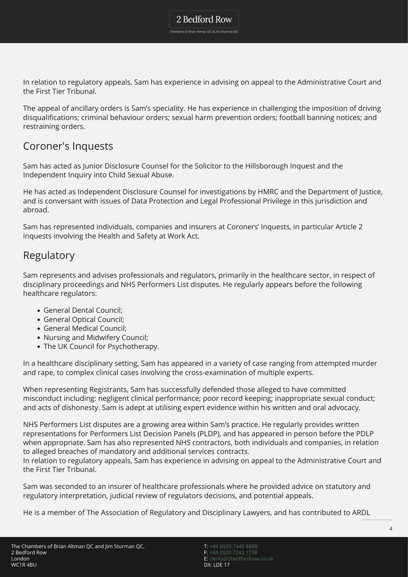Chambers of Brian Altman QC & Jim Sturman QC

In relation to regulatory appeals, Sam has experience in advising on appeal to the Administrative Court and the First Tier Tribunal.

The appeal of ancillary orders is Sam's speciality. He has experience in challenging the imposition of driving disqualifications; criminal behaviour orders; sexual harm prevention orders; football banning notices; and restraining orders.

### Coroner's Inquests

Sam has acted as Junior Disclosure Counsel for the Solicitor to the Hillsborough Inquest and the Independent Inquiry into Child Sexual Abuse.

He has acted as Independent Disclosure Counsel for investigations by HMRC and the Department of Justice, and is conversant with issues of Data Protection and Legal Professional Privilege in this jurisdiction and abroad.

Sam has represented individuals, companies and insurers at Coroners' Inquests, in particular Article 2 inquests involving the Health and Safety at Work Act.

### Regulatory

Sam represents and advises professionals and regulators, primarily in the healthcare sector, in respect of disciplinary proceedings and NHS Performers List disputes. He regularly appears before the following healthcare regulators:

- General Dental Council;
- General Optical Council;
- General Medical Council;
- Nursing and Midwifery Council;
- The UK Council for Psychotherapy.

In a healthcare disciplinary setting, Sam has appeared in a variety of case ranging from attempted murder and rape, to complex clinical cases involving the cross-examination of multiple experts.

When representing Registrants, Sam has successfully defended those alleged to have committed misconduct including: negligent clinical performance; poor record keeping; inappropriate sexual conduct; and acts of dishonesty. Sam is adept at utilising expert evidence within his written and oral advocacy.

NHS Performers List disputes are a growing area within Sam's practice. He regularly provides written representations for Performers List Decision Panels (PLDP), and has appeared in person before the PDLP when appropriate. Sam has also represented NHS contractors, both individuals and companies, in relation to alleged breaches of mandatory and additional services contracts.

In relation to regulatory appeals, Sam has experience in advising on appeal to the Administrative Court and the First Tier Tribunal.

Sam was seconded to an insurer of healthcare professionals where he provided advice on statutory and regulatory interpretation, judicial review of regulators decisions, and potential appeals.

He is a member of The Association of Regulatory and Disciplinary Lawyers, and has contributed to ARDL